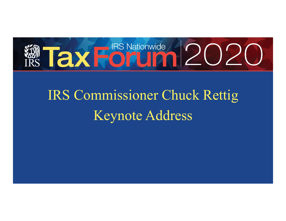

# IRS Commissioner Chuck Rettig Keynote Address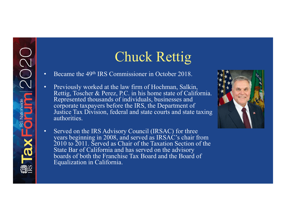# Chuck Rettig

• Became the 49<sup>th</sup> IRS Commissioner in October 2018.

2020

**RS Nationwide** 

 $\Omega$ 

- • Previously worked at the law firm of Hochman, Salkin, Rettig, Toscher & Perez, P.C. in his home state of California. Represented thousands of individuals, businesses and corporate taxpayers before the IRS, the Department of Justice Tax Division, federal and state courts and state taxing authorities.
- • Served on the IRS Advisory Council (IRSAC) for three years beginning in 2008, and served as IRSAC's chair from 2010 to 2011. Served as Chair of the Taxation Section of the State Bar of California and has served on the advisory boards of both the Franchise Tax Board and the Board of Equalization in California.

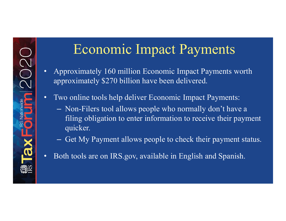#### Economic Impact Payments

- • Approximately 160 million Economic Impact Payments worth approximately \$270 billion have been delivered.
- • Two online tools help deliver Economic Impact Payments:
	- – Non-Filers tool allows people who normally don't have a filing obligation to enter information to receive their payment quicker.
	- Get My Payment allows people to check their payment status.
- Both tools are on IRS.gov, available in English and Spanish.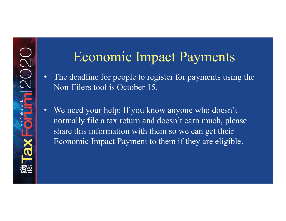#### Economic Impact Payments

- • The deadline for people to register for payments using the Non-Filers tool is October 15.
- We need your help: If you know anyone who doesn't normally file a tax return and doesn't earn much, please share this information with them so we can get their Economic Impact Payment to them if they are eligible.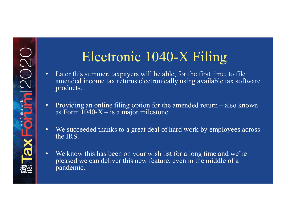# Electronic 1040-X Filing

- • Later this summer, taxpayers will be able, for the first time, to file amended income tax returns electronically using available tax software products.
- • Providing an online filing option for the amended return also known as Form  $1040-X$  – is a major milestone.
- • We succeeded thanks to a great deal of hard work by employees across the IRS.
- • We know this has been on your wish list for a long time and we're pleased we can deliver this new feature, even in the middle of a pandemic.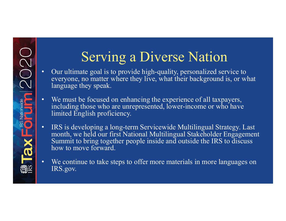# Serving a Diverse Nation

- • Our ultimate goal is to provide high-quality, personalized service to language they speak. everyone, no matter where they live, what their background is, or what
- • We must be focused on enhancing the experience of all taxpayers, including those who are unrepresented, lower-income or who have limited English proficiency.
- • IRS is developing a long-term Servicewide Multilingual Strategy. Last Summit to bring together people inside and outside the IRS to discuss month, we held our first National Multilingual Stakeholder Engagement how to move forward.
- • We continue to take steps to offer more materials in more languages on IRS.gov.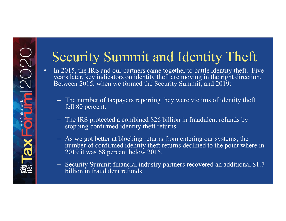# Security Summit and Identity Theft

- • In 2015, the IRS and our partners came together to battle identity theft. Five years later, key indicators on identity theft are moving in the right direction. Between 2015, when we formed the Security Summit, and 2019:
	- – The number of taxpayers reporting they were victims of identity theft fell 80 percent.
	- stopping confirmed identity theft returns. – The IRS protected a combined \$26 billion in fraudulent refunds by
	- – As we got better at blocking returns from entering our systems, the number of confirmed identity theft returns declined to the point where in 2019 it was 68 percent below 2015.
	- – Security Summit financial industry partners recovered an additional \$1.7 billion in fraudulent refunds.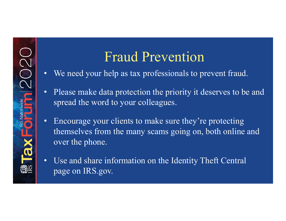#### Fraud Prevention

- We need your help as tax professionals to prevent fraud.
- • Please make data protection the priority it deserves to be and spread the word to your colleagues.
- • Encourage your clients to make sure they're protecting themselves from the many scams going on, both online and over the phone.
- • Use and share information on the Identity Theft Central page on IRS.gov.